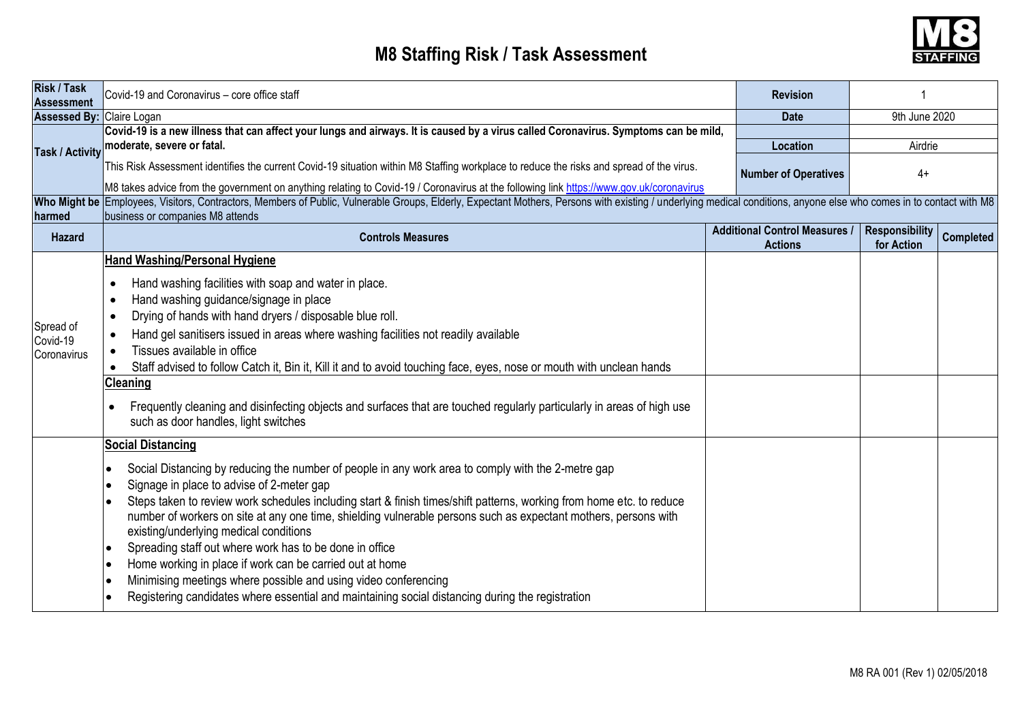## **M8 Staffing Risk / Task Assessment**



| <b>Risk / Task</b><br><b>Assessment</b> | Covid-19 and Coronavirus - core office staff                                                                                                                                                                                                                                                                                                                                                                                                                                                                                                                                                                                                                                                                                                                   |             | <b>Revision</b>                         |                       |                  |  |  |  |  |  |
|-----------------------------------------|----------------------------------------------------------------------------------------------------------------------------------------------------------------------------------------------------------------------------------------------------------------------------------------------------------------------------------------------------------------------------------------------------------------------------------------------------------------------------------------------------------------------------------------------------------------------------------------------------------------------------------------------------------------------------------------------------------------------------------------------------------------|-------------|-----------------------------------------|-----------------------|------------------|--|--|--|--|--|
| <b>Assessed By: Claire Logan</b>        |                                                                                                                                                                                                                                                                                                                                                                                                                                                                                                                                                                                                                                                                                                                                                                | <b>Date</b> | 9th June 2020                           |                       |                  |  |  |  |  |  |
| <b>Task / Activity</b>                  | Covid-19 is a new illness that can affect your lungs and airways. It is caused by a virus called Coronavirus. Symptoms can be mild,<br>moderate, severe or fatal.<br>This Risk Assessment identifies the current Covid-19 situation within M8 Staffing workplace to reduce the risks and spread of the virus.                                                                                                                                                                                                                                                                                                                                                                                                                                                  |             | Location<br><b>Number of Operatives</b> | Airdrie<br>$4+$       |                  |  |  |  |  |  |
|                                         | M8 takes advice from the government on anything relating to Covid-19 / Coronavirus at the following link https://www.gov.uk/coronavirus                                                                                                                                                                                                                                                                                                                                                                                                                                                                                                                                                                                                                        |             |                                         |                       |                  |  |  |  |  |  |
|                                         | Who Might be Employees, Visitors, Contractors, Members of Public, Vulnerable Groups, Elderly, Expectant Mothers, Persons with existing / underlying medical conditions, anyone else who comes in to contact with M8                                                                                                                                                                                                                                                                                                                                                                                                                                                                                                                                            |             |                                         |                       |                  |  |  |  |  |  |
| harmed                                  | business or companies M8 attends                                                                                                                                                                                                                                                                                                                                                                                                                                                                                                                                                                                                                                                                                                                               |             | <b>Additional Control Measures /</b>    | <b>Responsibility</b> |                  |  |  |  |  |  |
| Hazard                                  | <b>Controls Measures</b>                                                                                                                                                                                                                                                                                                                                                                                                                                                                                                                                                                                                                                                                                                                                       |             | <b>Actions</b>                          | for Action            | <b>Completed</b> |  |  |  |  |  |
|                                         | <b>Hand Washing/Personal Hygiene</b>                                                                                                                                                                                                                                                                                                                                                                                                                                                                                                                                                                                                                                                                                                                           |             |                                         |                       |                  |  |  |  |  |  |
| Spread of<br>Covid-19<br>Coronavirus    | Hand washing facilities with soap and water in place.<br>$\bullet$<br>Hand washing guidance/signage in place<br>$\bullet$<br>Drying of hands with hand dryers / disposable blue roll.<br>$\bullet$<br>Hand gel sanitisers issued in areas where washing facilities not readily available<br>$\bullet$<br>Tissues available in office<br>$\bullet$<br>Staff advised to follow Catch it, Bin it, Kill it and to avoid touching face, eyes, nose or mouth with unclean hands<br><b>Cleaning</b><br>Frequently cleaning and disinfecting objects and surfaces that are touched regularly particularly in areas of high use<br>such as door handles, light switches                                                                                                 |             |                                         |                       |                  |  |  |  |  |  |
|                                         | <b>Social Distancing</b><br>Social Distancing by reducing the number of people in any work area to comply with the 2-metre gap<br>Signage in place to advise of 2-meter gap<br>Steps taken to review work schedules including start & finish times/shift patterns, working from home etc. to reduce<br>number of workers on site at any one time, shielding vulnerable persons such as expectant mothers, persons with<br>existing/underlying medical conditions<br>Spreading staff out where work has to be done in office<br>Home working in place if work can be carried out at home<br>Minimising meetings where possible and using video conferencing<br>Registering candidates where essential and maintaining social distancing during the registration |             |                                         |                       |                  |  |  |  |  |  |